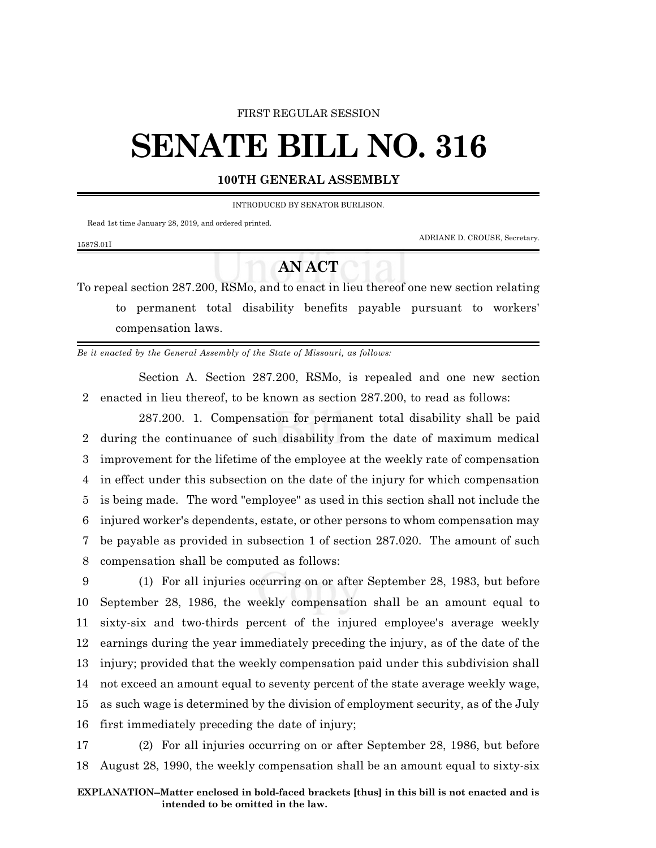#### FIRST REGULAR SESSION

# **SENATE BILL NO. 316**

### **100TH GENERAL ASSEMBLY**

INTRODUCED BY SENATOR BURLISON.

Read 1st time January 28, 2019, and ordered printed.

ADRIANE D. CROUSE, Secretary.

#### 1587S.01I

## **AN ACT**

To repeal section 287.200, RSMo, and to enact in lieu thereof one new section relating to permanent total disability benefits payable pursuant to workers' compensation laws.

*Be it enacted by the General Assembly of the State of Missouri, as follows:*

Section A. Section 287.200, RSMo, is repealed and one new section 2 enacted in lieu thereof, to be known as section 287.200, to read as follows:

287.200. 1. Compensation for permanent total disability shall be paid during the continuance of such disability from the date of maximum medical improvement for the lifetime of the employee at the weekly rate of compensation in effect under this subsection on the date of the injury for which compensation is being made. The word "employee" as used in this section shall not include the injured worker's dependents, estate, or other persons to whom compensation may be payable as provided in subsection 1 of section 287.020. The amount of such compensation shall be computed as follows:

 (1) For all injuries occurring on or after September 28, 1983, but before September 28, 1986, the weekly compensation shall be an amount equal to sixty-six and two-thirds percent of the injured employee's average weekly earnings during the year immediately preceding the injury, as of the date of the injury; provided that the weekly compensation paid under this subdivision shall not exceed an amount equal to seventy percent of the state average weekly wage, as such wage is determined by the division of employment security, as of the July first immediately preceding the date of injury;

17 (2) For all injuries occurring on or after September 28, 1986, but before 18 August 28, 1990, the weekly compensation shall be an amount equal to sixty-six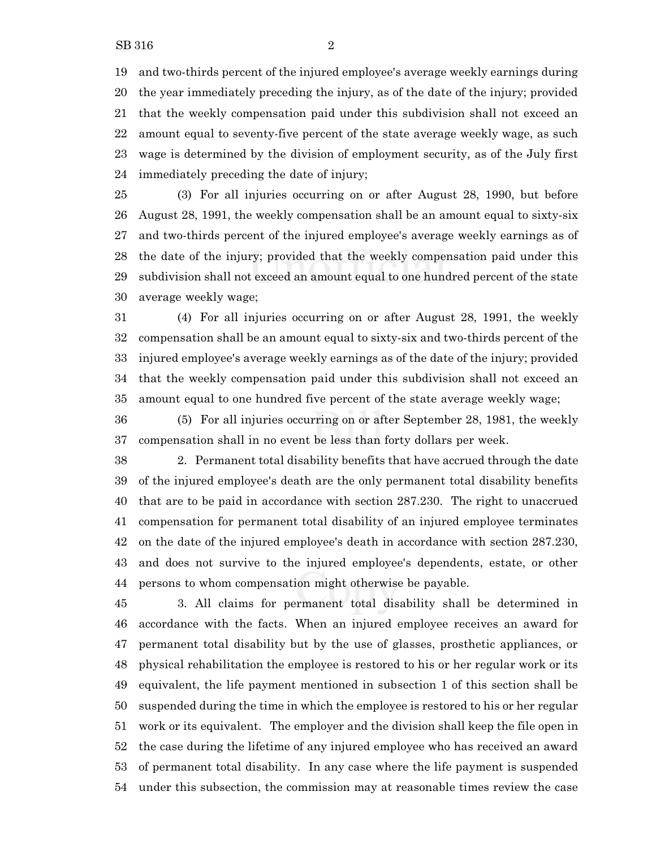and two-thirds percent of the injured employee's average weekly earnings during the year immediately preceding the injury, as of the date of the injury; provided that the weekly compensation paid under this subdivision shall not exceed an amount equal to seventy-five percent of the state average weekly wage, as such wage is determined by the division of employment security, as of the July first immediately preceding the date of injury;

 (3) For all injuries occurring on or after August 28, 1990, but before August 28, 1991, the weekly compensation shall be an amount equal to sixty-six and two-thirds percent of the injured employee's average weekly earnings as of the date of the injury; provided that the weekly compensation paid under this subdivision shall not exceed an amount equal to one hundred percent of the state average weekly wage;

 (4) For all injuries occurring on or after August 28, 1991, the weekly compensation shall be an amount equal to sixty-six and two-thirds percent of the injured employee's average weekly earnings as of the date of the injury; provided that the weekly compensation paid under this subdivision shall not exceed an amount equal to one hundred five percent of the state average weekly wage;

 (5) For all injuries occurring on or after September 28, 1981, the weekly compensation shall in no event be less than forty dollars per week.

 2. Permanent total disability benefits that have accrued through the date of the injured employee's death are the only permanent total disability benefits that are to be paid in accordance with section 287.230. The right to unaccrued compensation for permanent total disability of an injured employee terminates on the date of the injured employee's death in accordance with section 287.230, and does not survive to the injured employee's dependents, estate, or other persons to whom compensation might otherwise be payable.

 3. All claims for permanent total disability shall be determined in accordance with the facts. When an injured employee receives an award for permanent total disability but by the use of glasses, prosthetic appliances, or physical rehabilitation the employee is restored to his or her regular work or its equivalent, the life payment mentioned in subsection 1 of this section shall be suspended during the time in which the employee is restored to his or her regular work or its equivalent. The employer and the division shall keep the file open in the case during the lifetime of any injured employee who has received an award of permanent total disability. In any case where the life payment is suspended under this subsection, the commission may at reasonable times review the case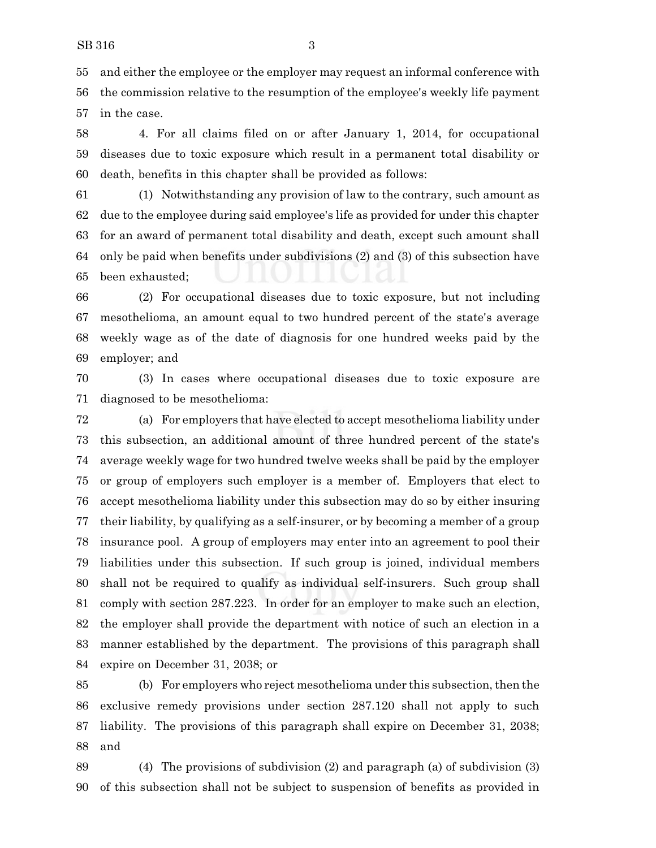and either the employee or the employer may request an informal conference with the commission relative to the resumption of the employee's weekly life payment in the case.

 4. For all claims filed on or after January 1, 2014, for occupational diseases due to toxic exposure which result in a permanent total disability or death, benefits in this chapter shall be provided as follows:

 (1) Notwithstanding any provision of law to the contrary, such amount as due to the employee during said employee's life as provided for under this chapter for an award of permanent total disability and death, except such amount shall only be paid when benefits under subdivisions (2) and (3) of this subsection have been exhausted;

 (2) For occupational diseases due to toxic exposure, but not including mesothelioma, an amount equal to two hundred percent of the state's average weekly wage as of the date of diagnosis for one hundred weeks paid by the employer; and

 (3) In cases where occupational diseases due to toxic exposure are diagnosed to be mesothelioma:

 (a) For employers that have elected to accept mesothelioma liability under this subsection, an additional amount of three hundred percent of the state's average weekly wage for two hundred twelve weeks shall be paid by the employer or group of employers such employer is a member of. Employers that elect to accept mesothelioma liability under this subsection may do so by either insuring their liability, by qualifying as a self-insurer, or by becoming a member of a group insurance pool. A group of employers may enter into an agreement to pool their liabilities under this subsection. If such group is joined, individual members shall not be required to qualify as individual self-insurers. Such group shall comply with section 287.223. In order for an employer to make such an election, the employer shall provide the department with notice of such an election in a manner established by the department. The provisions of this paragraph shall expire on December 31, 2038; or

85 (b) For employers who reject mesothelioma under this subsection, then the exclusive remedy provisions under section 287.120 shall not apply to such liability. The provisions of this paragraph shall expire on December 31, 2038; and

 (4) The provisions of subdivision (2) and paragraph (a) of subdivision (3) of this subsection shall not be subject to suspension of benefits as provided in